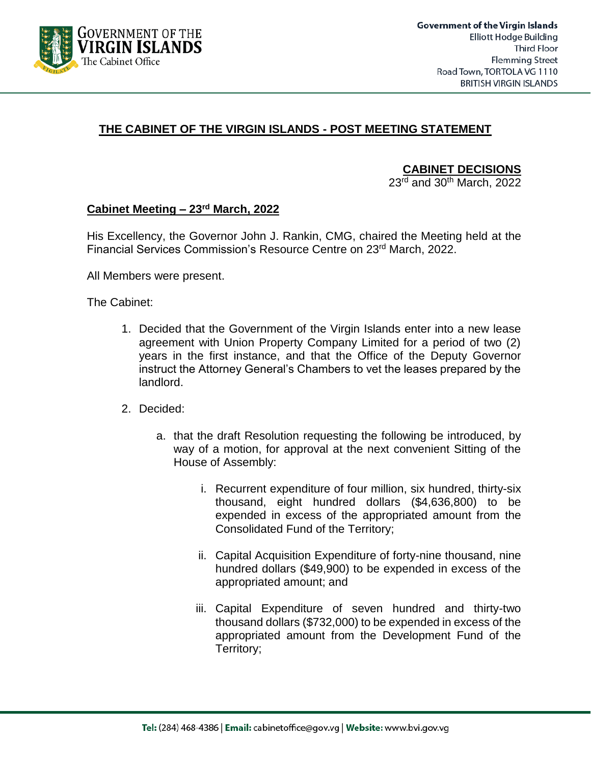

# **THE CABINET OF THE VIRGIN ISLANDS - POST MEETING STATEMENT**

**CABINET DECISIONS**

 $23<sup>rd</sup>$  and  $30<sup>th</sup>$  March, 2022

### **Cabinet Meeting – 23 rd March, 2022**

His Excellency, the Governor John J. Rankin, CMG, chaired the Meeting held at the Financial Services Commission's Resource Centre on 23rd March, 2022.

All Members were present.

The Cabinet:

- 1. Decided that the Government of the Virgin Islands enter into a new lease agreement with Union Property Company Limited for a period of two (2) years in the first instance, and that the Office of the Deputy Governor instruct the Attorney General's Chambers to vet the leases prepared by the landlord.
- 2. Decided:
	- a. that the draft Resolution requesting the following be introduced, by way of a motion, for approval at the next convenient Sitting of the House of Assembly:
		- i. Recurrent expenditure of four million, six hundred, thirty-six thousand, eight hundred dollars (\$4,636,800) to be expended in excess of the appropriated amount from the Consolidated Fund of the Territory;
		- ii. Capital Acquisition Expenditure of forty-nine thousand, nine hundred dollars (\$49,900) to be expended in excess of the appropriated amount; and
		- iii. Capital Expenditure of seven hundred and thirty-two thousand dollars (\$732,000) to be expended in excess of the appropriated amount from the Development Fund of the Territory;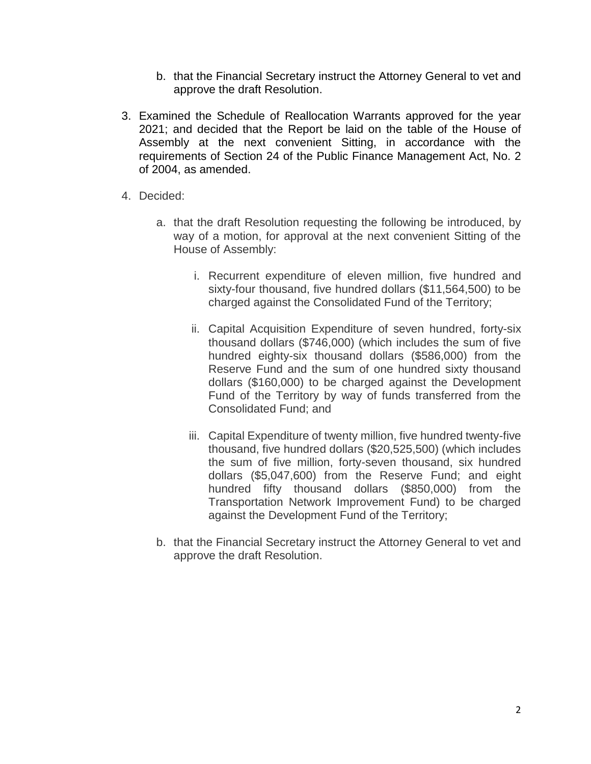- b. that the Financial Secretary instruct the Attorney General to vet and approve the draft Resolution.
- 3. Examined the Schedule of Reallocation Warrants approved for the year 2021; and decided that the Report be laid on the table of the House of Assembly at the next convenient Sitting, in accordance with the requirements of Section 24 of the Public Finance Management Act, No. 2 of 2004, as amended.
- 4. Decided:
	- a. that the draft Resolution requesting the following be introduced, by way of a motion, for approval at the next convenient Sitting of the House of Assembly:
		- i. Recurrent expenditure of eleven million, five hundred and sixty-four thousand, five hundred dollars (\$11,564,500) to be charged against the Consolidated Fund of the Territory;
		- ii. Capital Acquisition Expenditure of seven hundred, forty-six thousand dollars (\$746,000) (which includes the sum of five hundred eighty-six thousand dollars (\$586,000) from the Reserve Fund and the sum of one hundred sixty thousand dollars (\$160,000) to be charged against the Development Fund of the Territory by way of funds transferred from the Consolidated Fund; and
		- iii. Capital Expenditure of twenty million, five hundred twenty-five thousand, five hundred dollars (\$20,525,500) (which includes the sum of five million, forty-seven thousand, six hundred dollars (\$5,047,600) from the Reserve Fund; and eight hundred fifty thousand dollars (\$850,000) from the Transportation Network Improvement Fund) to be charged against the Development Fund of the Territory;
	- b. that the Financial Secretary instruct the Attorney General to vet and approve the draft Resolution.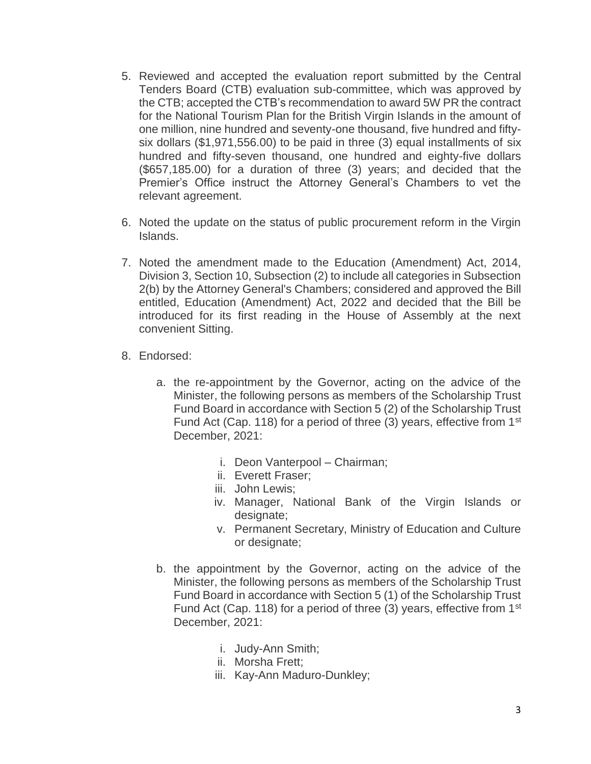- 5. Reviewed and accepted the evaluation report submitted by the Central Tenders Board (CTB) evaluation sub-committee, which was approved by the CTB; accepted the CTB's recommendation to award 5W PR the contract for the National Tourism Plan for the British Virgin Islands in the amount of one million, nine hundred and seventy-one thousand, five hundred and fiftysix dollars (\$1,971,556.00) to be paid in three (3) equal installments of six hundred and fifty-seven thousand, one hundred and eighty-five dollars (\$657,185.00) for a duration of three (3) years; and decided that the Premier's Office instruct the Attorney General's Chambers to vet the relevant agreement.
- 6. Noted the update on the status of public procurement reform in the Virgin Islands.
- 7. Noted the amendment made to the Education (Amendment) Act, 2014, Division 3, Section 10, Subsection (2) to include all categories in Subsection 2(b) by the Attorney General's Chambers; considered and approved the Bill entitled, Education (Amendment) Act, 2022 and decided that the Bill be introduced for its first reading in the House of Assembly at the next convenient Sitting.
- 8. Endorsed:
	- a. the re-appointment by the Governor, acting on the advice of the Minister, the following persons as members of the Scholarship Trust Fund Board in accordance with Section 5 (2) of the Scholarship Trust Fund Act (Cap. 118) for a period of three (3) years, effective from 1st December, 2021:
		- i. Deon Vanterpool Chairman;
		- ii. Everett Fraser;
		- iii. John Lewis;
		- iv. Manager, National Bank of the Virgin Islands or designate:
		- v. Permanent Secretary, Ministry of Education and Culture or designate;
	- b. the appointment by the Governor, acting on the advice of the Minister, the following persons as members of the Scholarship Trust Fund Board in accordance with Section 5 (1) of the Scholarship Trust Fund Act (Cap. 118) for a period of three (3) years, effective from 1<sup>st</sup> December, 2021:
		- i. Judy-Ann Smith;
		- ii. Morsha Frett;
		- iii. Kay-Ann Maduro-Dunkley;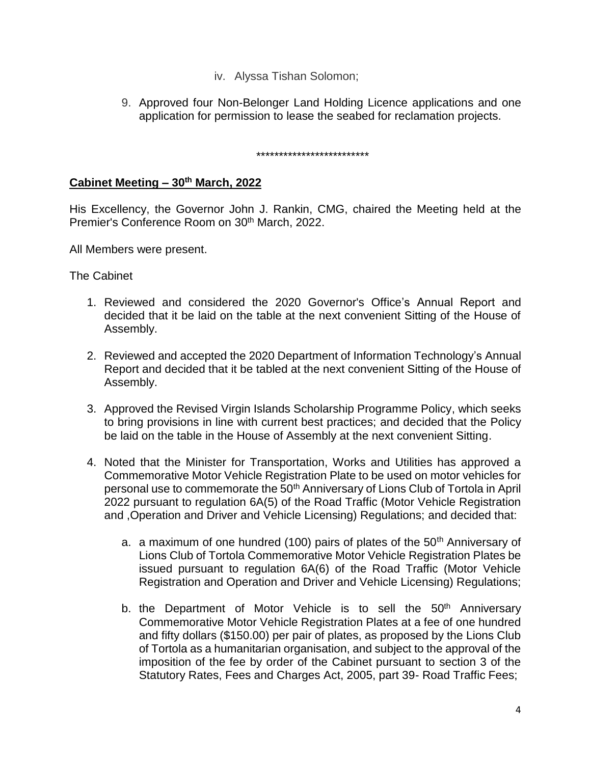- iv. Alyssa Tishan Solomon;
- 9. Approved four Non-Belonger Land Holding Licence applications and one application for permission to lease the seabed for reclamation projects.

\*\*\*\*\*\*\*\*\*\*\*\*\*\*\*\*\*\*\*\*\*\*\*\*\*

## **Cabinet Meeting – 30th March, 2022**

His Excellency, the Governor John J. Rankin, CMG, chaired the Meeting held at the Premier's Conference Room on 30<sup>th</sup> March, 2022.

All Members were present.

The Cabinet

- 1. Reviewed and considered the 2020 Governor's Office's Annual Report and decided that it be laid on the table at the next convenient Sitting of the House of Assembly.
- 2. Reviewed and accepted the 2020 Department of Information Technology's Annual Report and decided that it be tabled at the next convenient Sitting of the House of Assembly.
- 3. Approved the Revised Virgin Islands Scholarship Programme Policy, which seeks to bring provisions in line with current best practices; and decided that the Policy be laid on the table in the House of Assembly at the next convenient Sitting.
- 4. Noted that the Minister for Transportation, Works and Utilities has approved a Commemorative Motor Vehicle Registration Plate to be used on motor vehicles for personal use to commemorate the 50<sup>th</sup> Anniversary of Lions Club of Tortola in April 2022 pursuant to regulation 6A(5) of the Road Traffic (Motor Vehicle Registration and ,Operation and Driver and Vehicle Licensing) Regulations; and decided that:
	- a. a maximum of one hundred (100) pairs of plates of the  $50<sup>th</sup>$  Anniversary of Lions Club of Tortola Commemorative Motor Vehicle Registration Plates be issued pursuant to regulation 6A(6) of the Road Traffic (Motor Vehicle Registration and Operation and Driver and Vehicle Licensing) Regulations;
	- b. the Department of Motor Vehicle is to sell the  $50<sup>th</sup>$  Anniversary Commemorative Motor Vehicle Registration Plates at a fee of one hundred and fifty dollars (\$150.00) per pair of plates, as proposed by the Lions Club of Tortola as a humanitarian organisation, and subject to the approval of the imposition of the fee by order of the Cabinet pursuant to section 3 of the Statutory Rates, Fees and Charges Act, 2005, part 39- Road Traffic Fees;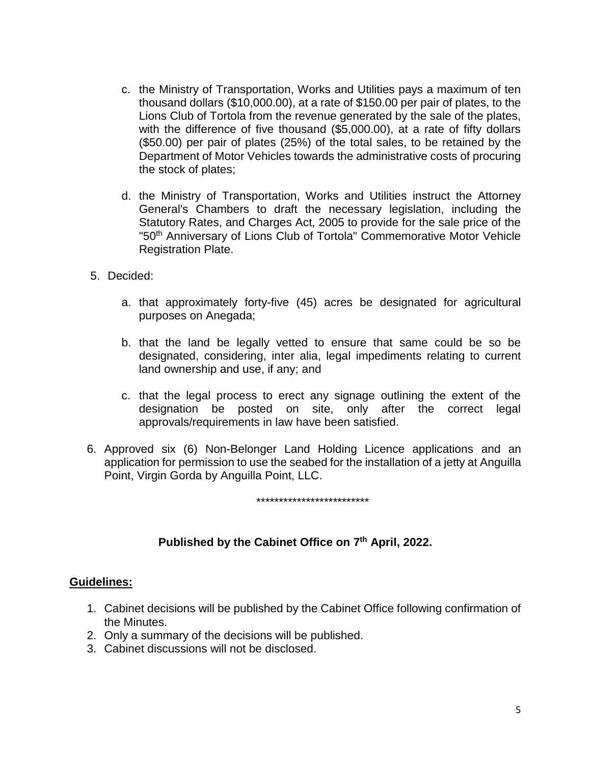- c. the Ministry of Transportation, Works and Utilities pays a maximum of ten thousand dollars (\$10,000.00), at a rate of \$150.00 per pair of plates, to the Lions Club of Tortola from the revenue generated by the sale of the plates, with the difference of five thousand (\$5,000.00), at a rate of fifty dollars (\$50.00) per pair of plates (25%) of the total sales, to be retained by the Department of Motor Vehicles towards the administrative costs of procuring the stock of plates;
- d. the Ministry of Transportation, Works and Utilities instruct the Attorney General's Chambers to draft the necessary legislation, including the Statutory Rates, and Charges Act, 2005 to provide for the sale price of the "50<sup>th</sup> Anniversary of Lions Club of Tortola" Commemorative Motor Vehicle Registration Plate.
- 5. Decided:
	- a. that approximately forty-five (45) acres be designated for agricultural purposes on Anegada;
	- b. that the land be legally vetted to ensure that same could be so be designated, considering, inter alia, legal impediments relating to current land ownership and use, if any; and
	- c. that the legal process to erect any signage outlining the extent of the designation be posted on site, only after the correct legal approvals/requirements in law have been satisfied.
- 6. Approved six (6) Non-Belonger Land Holding Licence applications and an application for permission to use the seabed for the installation of a jetty at Anguilla Point, Virgin Gorda by Anguilla Point, LLC.

#### \*\*\*\*\*\*\*\*\*\*\*\*\*\*\*\*\*\*\*\*\*\*\*\*\*

# **Published by the Cabinet Office on 7 th April, 2022.**

### **Guidelines:**

- 1. Cabinet decisions will be published by the Cabinet Office following confirmation of the Minutes.
- 2. Only a summary of the decisions will be published.
- 3. Cabinet discussions will not be disclosed.